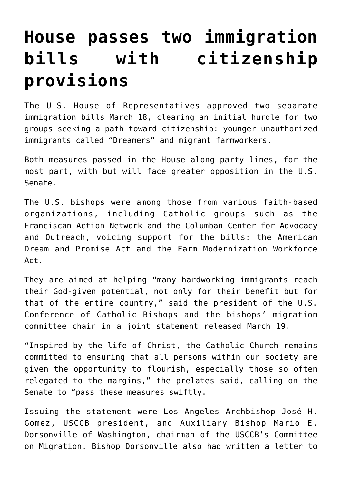## **[House passes two immigration](https://www.osvnews.com/2021/03/19/house-passes-two-immigration-bills-with-citizenship-provisions/) [bills with citizenship](https://www.osvnews.com/2021/03/19/house-passes-two-immigration-bills-with-citizenship-provisions/) [provisions](https://www.osvnews.com/2021/03/19/house-passes-two-immigration-bills-with-citizenship-provisions/)**

The U.S. House of Representatives approved two separate immigration bills March 18, clearing an initial hurdle for two groups seeking a path toward citizenship: younger unauthorized immigrants called "Dreamers" and migrant farmworkers.

Both measures passed in the House along party lines, for the most part, with but will face greater opposition in the U.S. Senate.

The U.S. bishops were among those from various faith-based organizations, including Catholic groups such as the Franciscan Action Network and the Columban Center for Advocacy and Outreach, voicing support for the bills: the American Dream and Promise Act and the Farm Modernization Workforce Act.

They are aimed at helping "many hardworking immigrants reach their God-given potential, not only for their benefit but for that of the entire country," said the president of the U.S. Conference of Catholic Bishops and the bishops' migration committee chair in a joint statement released March 19.

"Inspired by the life of Christ, the Catholic Church remains committed to ensuring that all persons within our society are given the opportunity to flourish, especially those so often relegated to the margins," the prelates said, calling on the Senate to "pass these measures swiftly.

Issuing the statement were Los Angeles Archbishop José H. Gomez, USCCB president, and Auxiliary Bishop Mario E. Dorsonville of Washington, chairman of the USCCB's Committee on Migration. Bishop Dorsonville also had written a letter to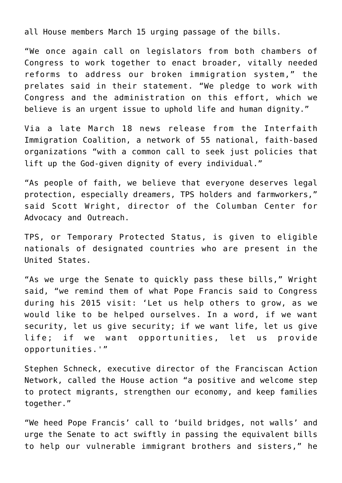all House members March 15 urging passage of the bills.

"We once again call on legislators from both chambers of Congress to work together to enact broader, vitally needed reforms to address our broken immigration system," the prelates said in their statement. "We pledge to work with Congress and the administration on this effort, which we believe is an urgent issue to uphold life and human dignity."

Via a late March 18 news release from the Interfaith Immigration Coalition, a network of 55 national, faith-based organizations "with a common call to seek just policies that lift up the God-given dignity of every individual."

"As people of faith, we believe that everyone deserves legal protection, especially dreamers, TPS holders and farmworkers," said Scott Wright, director of the Columban Center for Advocacy and Outreach.

TPS, or Temporary Protected Status, is given to eligible nationals of designated countries who are present in the United States.

"As we urge the Senate to quickly pass these bills," Wright said, "we remind them of what Pope Francis said to Congress during his 2015 visit: 'Let us help others to grow, as we would like to be helped ourselves. In a word, if we want security, let us give security; if we want life, let us give life; if we want opportunities, let us provide opportunities.'"

Stephen Schneck, executive director of the Franciscan Action Network, called the House action "a positive and welcome step to protect migrants, strengthen our economy, and keep families together."

"We heed Pope Francis' call to 'build bridges, not walls' and urge the Senate to act swiftly in passing the equivalent bills to help our vulnerable immigrant brothers and sisters," he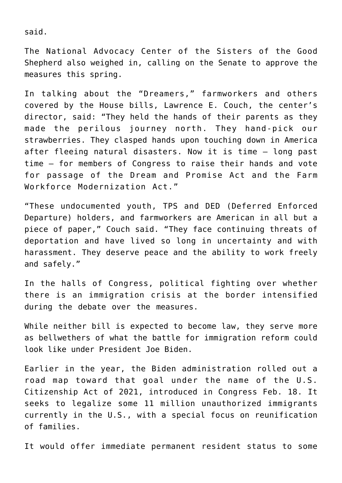said.

The National Advocacy Center of the Sisters of the Good Shepherd also weighed in, calling on the Senate to approve the measures this spring.

In talking about the "Dreamers," farmworkers and others covered by the House bills, Lawrence E. Couch, the center's director, said: "They held the hands of their parents as they made the perilous journey north. They hand-pick our strawberries. They clasped hands upon touching down in America after fleeing natural disasters. Now it is time — long past time — for members of Congress to raise their hands and vote for passage of the Dream and Promise Act and the Farm Workforce Modernization Act."

"These undocumented youth, TPS and DED (Deferred Enforced Departure) holders, and farmworkers are American in all but a piece of paper," Couch said. "They face continuing threats of deportation and have lived so long in uncertainty and with harassment. They deserve peace and the ability to work freely and safely."

In the halls of Congress, political fighting over whether there is an immigration crisis at the border intensified during the debate over the measures.

While neither bill is expected to become law, they serve more as bellwethers of what the battle for immigration reform could look like under President Joe Biden.

Earlier in the year, the Biden administration rolled out a road map toward that goal under the name of the U.S. Citizenship Act of 2021, introduced in Congress Feb. 18. It seeks to legalize some 11 million unauthorized immigrants currently in the U.S., with a special focus on reunification of families.

It would offer immediate permanent resident status to some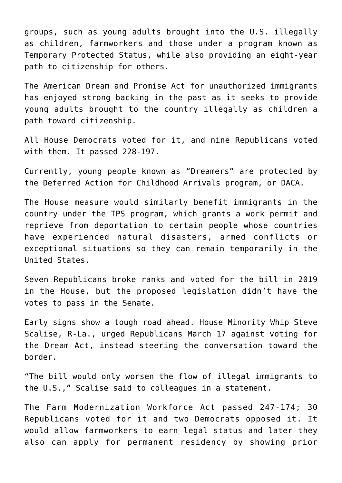groups, such as young adults brought into the U.S. illegally as children, farmworkers and those under a program known as Temporary Protected Status, while also providing an eight-year path to citizenship for others.

The American Dream and Promise Act for unauthorized immigrants has enjoyed strong backing in the past as it seeks to provide young adults brought to the country illegally as children a path toward citizenship.

All House Democrats voted for it, and nine Republicans voted with them. It passed 228-197.

Currently, young people known as "Dreamers" are protected by the Deferred Action for Childhood Arrivals program, or DACA.

The House measure would similarly benefit immigrants in the country under the TPS program, which grants a work permit and reprieve from deportation to certain people whose countries have experienced natural disasters, armed conflicts or exceptional situations so they can remain temporarily in the United States.

Seven Republicans broke ranks and voted for the bill in 2019 in the House, but the proposed legislation didn't have the votes to pass in the Senate.

Early signs show a tough road ahead. House Minority Whip Steve Scalise, R-La., urged Republicans March 17 against voting for the Dream Act, instead steering the conversation toward the border.

"The bill would only worsen the flow of illegal immigrants to the U.S.," Scalise said to colleagues in a statement.

The Farm Modernization Workforce Act passed 247-174; 30 Republicans voted for it and two Democrats opposed it. It would allow farmworkers to earn legal status and later they also can apply for permanent residency by showing prior